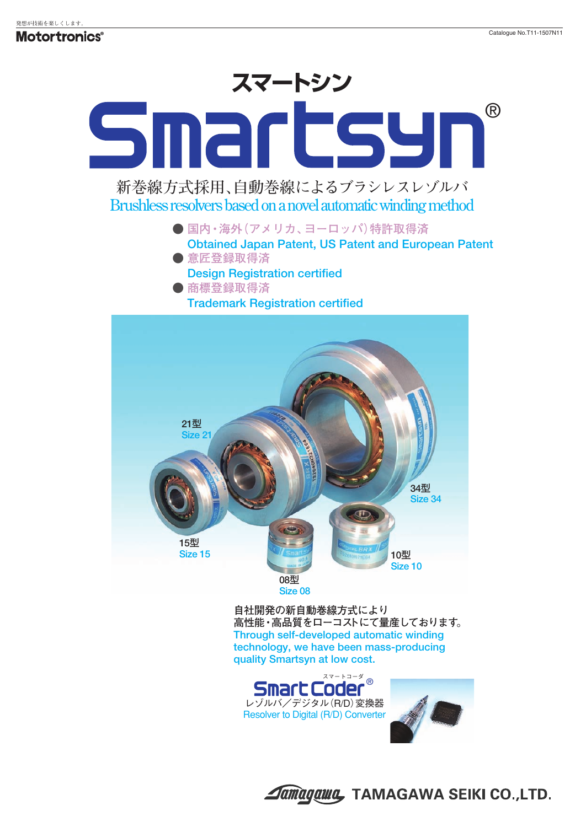## ® Smartsy **新巻線方式採用、自動巻線によるブラシレスレゾルバ Brushless resolvers based on a novel automatic winding method ● 国内・海外(アメリカ、ヨーロッパ)特許取得済 Obtained Japan Patent, US Patent and European Patent ● 意匠登録取得済**

**Design Registration certified ● 商標登録取得済**



**自社開発の新自動巻線方式により 高性能・高品質をローコストにて量産しております。 Through self-developed automatic winding technology, we have been mass-producing quality Smartsyn at low cost.**



**Annagawa, TAMAGAWA SEIKI CO.,LTD.**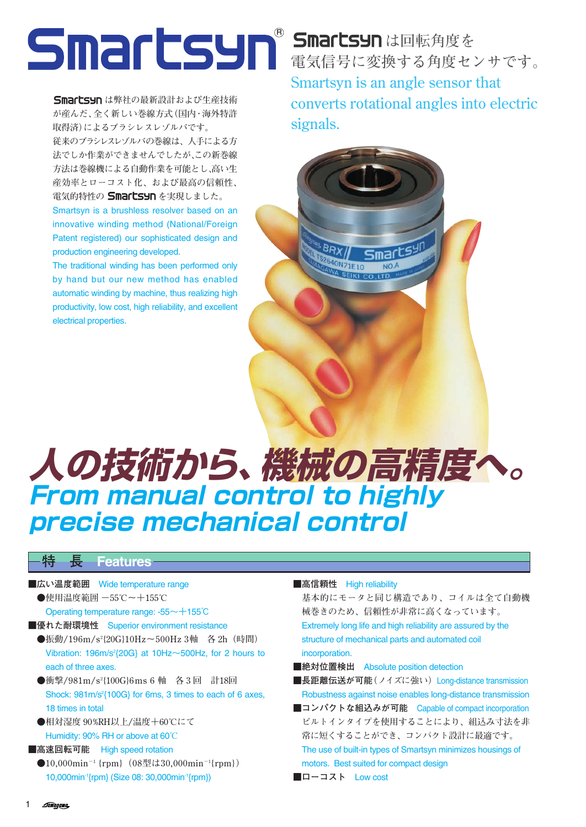**Smartsyn** は弊社の最新設計および生産技術 **が産んだ、全く新しい巻線方式(国内・海外特許 取得済)によるブラシレスレゾルバです。 従来のブラシレスレゾルバの巻線は、人手による方 法でしか作業ができませんでしたが、この新巻線**

**方法は巻線機による自動作業を可能とし、高い生 産効率とローコスト化、および最高の信頼性、** 電気的特性の **Smartsyn** を実現しました。

Smartsyn is a brushless resolver based on an innovative winding method (National/Foreign Patent registered) our sophisticated design and production engineering developed.

The traditional winding has been performed only by hand but our new method has enabled automatic winding by machine, thus realizing high productivity, low cost, high reliability, and excellent electrical properties.

<sup>B</sup> Smartsynは回転角度を **電気信号に変換する角度センサです。 Smartsyn is an angle sensor that converts rotational angles into electric signals.**



# **人の技術から、機械の高精度へ。 From manual control to highly precise mechanical control**

**特 長 Features**

- ■広い温度範囲 Wide temperature range **●使用温度範囲 -55℃~+155℃** Operating temperature range: -55~+155℃
- ■優れた耐環境性 Superior environment resistance
	- ●振動/196m/s<sup>2</sup>{20G}10Hz~500Hz 3軸 各 2h(時間) Vibration: 196m/s<sup>2</sup> $\{20G\}$  at 10Hz $\sim$ 500Hz, for 2 hours to each of three axes.
	- **●衝撃/981m/s2 {100G}6 ms 6 軸 各 3 回 計18回** Shock: 981m/s<sup>2</sup>{100G} for 6ms, 3 times to each of 6 axes, 18 times in total
	- **●相対湿度 90%RH以上/温度+60℃にて** Humidity: 90% RH or above at 60**℃**
- ■高速回転可能 High speed rotation
	- **●10,000min-1 {rpm}(08型は30,000min-1{rpm})** 10,000min-1{rpm} (Size 08: 30,000min-1{rpm})

#### ■高信頼性 **High reliability**

**基本的にモータと同じ構造であり、コイルは全て自動機 械巻きのため、信頼性が非常に高くなっています。** Extremely long life and high reliability are assured by the structure of mechanical parts and automated coil incorporation.

- ■絶対位置検出 Absolute position detection
- ■長距離伝送が可能<sup>(</sup>ノイズに強い) Long-distance transmission Robustness against noise enables long-distance transmission
- ■コンパクトな組込みが可能 Capable of compact incorporation **ビルトインタイプを使用することにより、組込み寸法を非 常に短くすることができ、コンパクト設計に最適です。** The use of built-in types of Smartsyn minimizes housings of motors. Best suited for compact design
- **■ローコスト** Low cost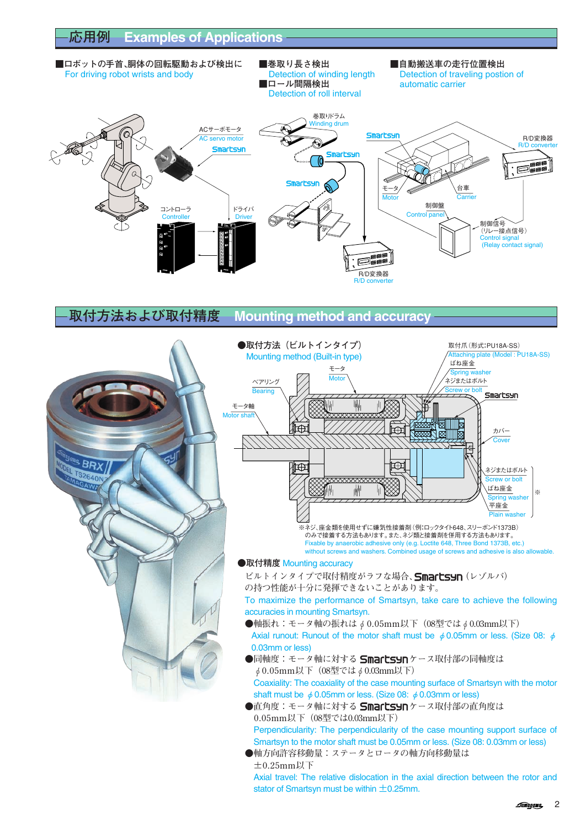■ロボットの手首、胴体の回転駆動および検出に ■巻取り長さ検出 ■<br>For driving robot wrists and body **Bullet Bullet Action of winding length Detection of traveling postic** Detection of traveling postion of ■ロール間隔検出 → automatic carrier Detection of roll interval 巻取りドラム nding drum ACサーボモータ **Smartsyn** R/D変換器 servo moto R/D converter artsyn **Smartsyn** F. Smartsyn 台車 モータ Carrier Motor 制御盤 ドライバ コントローラ Control **Controller** Driver 制御信号 .........<br>(リレー接点信号) Control s (Relay contact signal) F®® R/D変換器  $R/D$ 

## **取付方法および取付精度 Mounting method and accuracy**



**±0.25mm以下** Axial travel: The relative dislocation in the axial direction between the rotor and stator of Smartsyn must be within  $\pm$ 0.25mm.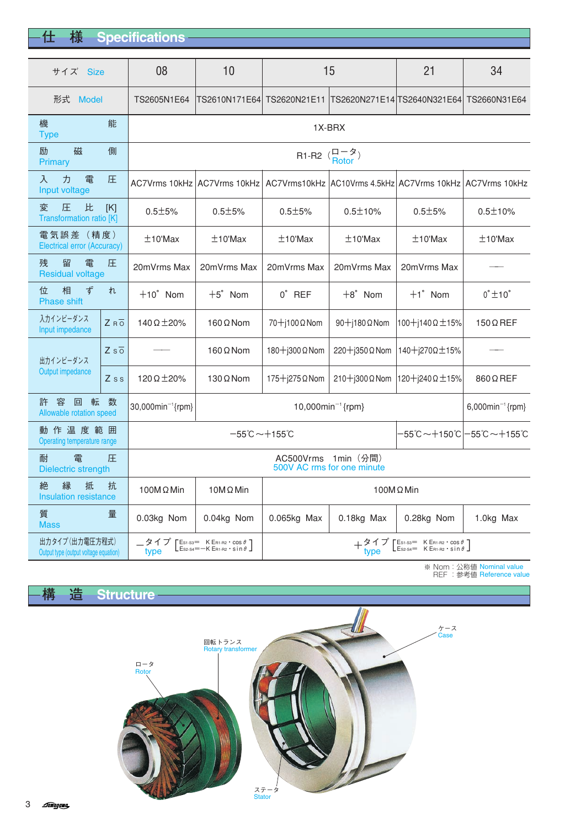3 *Amagawa* 

| 仕 | 様 | <b>Specifications</b> |  |
|---|---|-----------------------|--|

| サイズ Size                                                 |                  | 08                                                         | 10                                                                                                                                                                           | 15                                                                                                                                                                                   |                         | 21                                                       | 34                     |  |
|----------------------------------------------------------|------------------|------------------------------------------------------------|------------------------------------------------------------------------------------------------------------------------------------------------------------------------------|--------------------------------------------------------------------------------------------------------------------------------------------------------------------------------------|-------------------------|----------------------------------------------------------|------------------------|--|
| 形式 Model                                                 |                  | TS2605N1E64                                                | TS2610N171E64                                                                                                                                                                | TS2620N21E11                                                                                                                                                                         |                         | TS2620N271E14 TS2640N321E64                              | TS2660N31E64           |  |
| 機<br>能<br><b>Type</b>                                    |                  | 1X-BRX                                                     |                                                                                                                                                                              |                                                                                                                                                                                      |                         |                                                          |                        |  |
| 磁<br>励<br>Primary                                        | 側                | R <sub>1</sub> -R <sub>2</sub> $(\frac{\Box - \Im}{\Box})$ |                                                                                                                                                                              |                                                                                                                                                                                      |                         |                                                          |                        |  |
| 力<br>雷<br>入<br>Input voltage                             | 圧                |                                                            | AC7Vrms 10kHz   AC7Vrms 10kHz                                                                                                                                                |                                                                                                                                                                                      |                         | AC7Vrms10kHz AC10Vrms 4.5kHz AC7Vrms 10kHz AC7Vrms 10kHz |                        |  |
| 比<br>変<br>圧<br>[K]<br><b>Transformation ratio [K]</b>    |                  | $0.5 + 5%$                                                 | $0.5 + 5%$                                                                                                                                                                   | $0.5 + 5%$                                                                                                                                                                           | $0.5 \pm 10%$           | $0.5 + 5%$                                               | $0.5 \pm 10%$          |  |
| 電 気 誤 差 ( 精 度 )<br><b>Electrical error (Accuracy)</b>    |                  | $±10^{\circ}$ Max                                          | $±10^{\circ}$ Max                                                                                                                                                            | $±10^{\circ}$ Max                                                                                                                                                                    | $±10^{\circ}$ Max       | $±10^{\prime}$ Max                                       | $±10^{\circ}$ Max      |  |
| 雷<br>残<br>留<br>圧<br><b>Residual voltage</b>              |                  | 20mVrms Max                                                | 20mVrms Max                                                                                                                                                                  | 20mVrms Max                                                                                                                                                                          | 20mVrms Max             | 20mVrms Max                                              |                        |  |
| 位<br>相<br>ず<br>れ<br><b>Phase shift</b>                   |                  | $+10^{\circ}$ Nom                                          | $+5^\circ$ Nom                                                                                                                                                               | $0^{\circ}$ REF                                                                                                                                                                      | $+8°$ Nom               | $+1^{\circ}$ Nom                                         | $0^\circ \pm 10^\circ$ |  |
| 入力インピーダンス<br>Input impedance                             | Z R0             | 140 $\Omega$ $\pm$ 20%                                     | 160 $\Omega$ Nom                                                                                                                                                             | 70+j100 Ω Nom                                                                                                                                                                        | $90 + 180 \Omega$ Nom   | 100+j140Ω±15%                                            | $150\Omega$ REF        |  |
| 出力インピーダンス<br>Output impedance                            | $Zs\overline{o}$ |                                                            | $160 \Omega$ Nom                                                                                                                                                             | 180+j300 Ω Nom                                                                                                                                                                       | 220+j350 Ω Nom          | 140+j270Ω±15%                                            |                        |  |
|                                                          | $Z$ s s          | 120 $\Omega$ ± 20%                                         | 130 $\Omega$ Nom                                                                                                                                                             | $175 + j275$ $\Omega$ Nom                                                                                                                                                            | $210 + j300 \Omega$ Nom | 120+j240Ω±15%                                            | 860 Ω REF              |  |
| 許<br>客<br>回<br>転<br>数<br>Allowable rotation speed        |                  | 30,000min <sup>-1</sup> {rpm}                              | 10,000 $min^{-1}$ {rpm}                                                                                                                                                      |                                                                                                                                                                                      |                         | $6,000$ min <sup>-1</sup> {rpm}                          |                        |  |
| 動作温度範囲<br>Operating temperature range                    |                  | $-55^{\circ}$ C ~ $+155^{\circ}$ C                         |                                                                                                                                                                              |                                                                                                                                                                                      |                         | −55℃~+150℃ –55℃~+155℃                                    |                        |  |
| 雷<br>耐<br>圧<br>Dielectric strength                       |                  | AC500Vrms 1min(分間)<br>500V AC rms for one minute           |                                                                                                                                                                              |                                                                                                                                                                                      |                         |                                                          |                        |  |
| 縁<br>抵<br>抗<br>絶<br><b>Insulation resistance</b>         |                  | 100M $\Omega$ Min                                          | $10M\Omega$ Min                                                                                                                                                              | 100M Ω Min                                                                                                                                                                           |                         |                                                          |                        |  |
| 質<br>量<br><b>Mass</b>                                    |                  | 0.03kg Nom                                                 | 0.04kg Nom                                                                                                                                                                   | $0.065kg$ Max                                                                                                                                                                        | 0.18kg Max              | 0.28kg Nom                                               | 1.0kg Max              |  |
| 出力タイプ (出力電圧方程式)<br>Output type (output voltage equation) |                  | _タイプ<br>type                                               | $\begin{bmatrix} \text{Es1-S3} = & \text{K E} \text{R1-R2} \cdot \text{COS} \ \theta \\ \text{Es2-S4} = & -\text{K E} \text{R1-R2} \cdot \text{S in} \ \theta \end{bmatrix}$ | $\begin{bmatrix}\n\text{Es1-S3} = & \text{K ERI-R2} \cdot \text{COS} \theta \\ \text{Es2-S4} = & \text{K ERI-R2} \cdot \text{Sin} \theta\n\end{bmatrix}$<br>+ <sup>タイフ</sup><br>type |                         |                                                          |                        |  |

※ Nom:公称値 Nominal value REF :参考値 Reference value

**構 造 Structure**

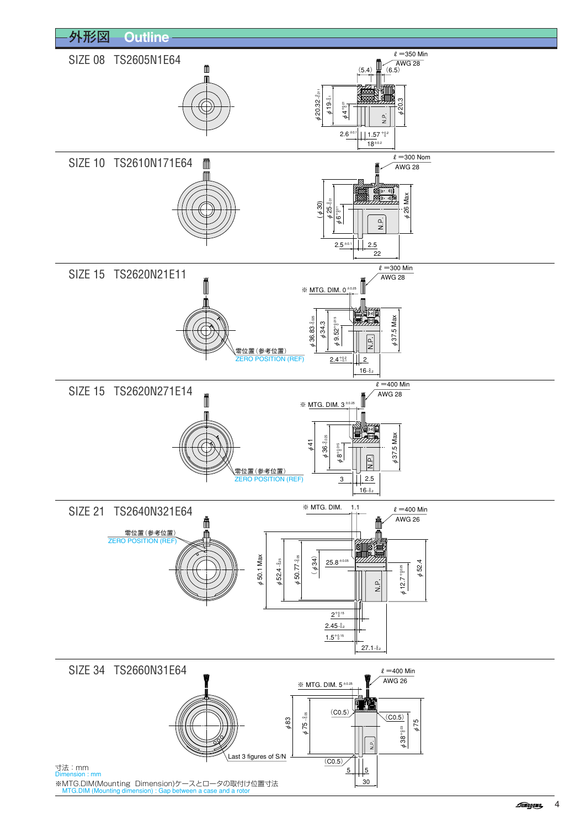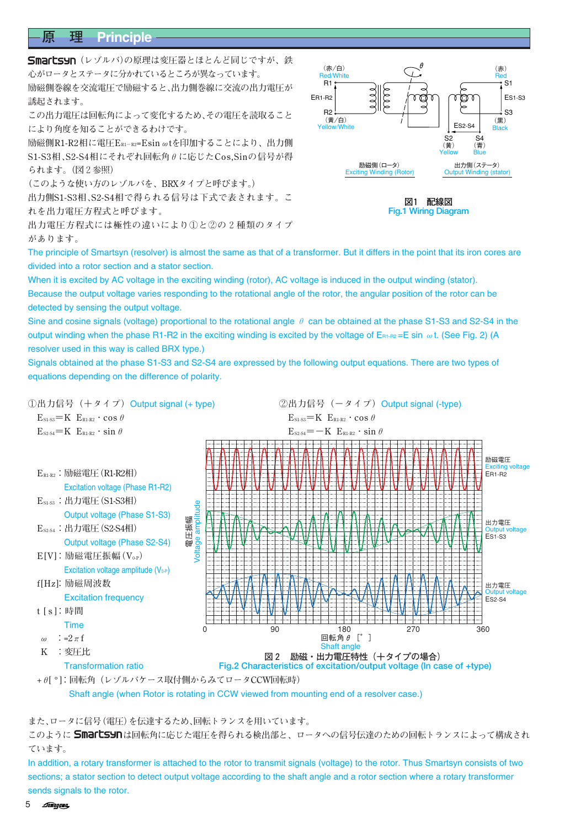## **原 理 Principle**

**Smartsyn** (レゾルバ)の原理は変圧器とほとんど同じですが、鉄 **心がロータとステータに分かれているところが異なっています。 励磁側巻線を交流電圧で励磁すると、出力側巻線に交流の出力電圧が 誘起されます。**

**この出力電圧は回転角によって変化するため、その電圧を読取ること により角度を知ることができるわけです。**

**励磁側R1-R2相に電圧ER1-R2=Esinωtを印加することにより、出力側 S1-S3相、S2-S4相にそれぞれ回転角θに応じたCos,Sinの信号が得 られます。(図2参照)**

**(このような使い方のレゾルバを、BRXタイプと呼びます。)**

**出力側S1-S3相、S2-S4相で得られる信号は下式で表されます。こ れを出力電圧方程式と呼びます。**

**出力電圧方程式には極性の違いにより①と②の2種類のタイプ があります。**



**図1 配線図 Fig.1 Wiring Diagram**

The principle of Smartsyn (resolver) is almost the same as that of a transformer. But it differs in the point that its iron cores are divided into a rotor section and a stator section.

When it is excited by AC voltage in the exciting winding (rotor), AC voltage is induced in the output winding (stator). Because the output voltage varies responding to the rotational angle of the rotor, the angular position of the rotor can be detected by sensing the output voltage.

Sine and cosine signals (voltage) proportional to the rotational angle  $\theta$  can be obtained at the phase S1-S3 and S2-S4 in the output winding when the phase R1-R2 in the exciting winding is excited by the voltage of  $E_{B1\text{-}R2}$  = E sin  $\omega$ t. (See Fig. 2) (A resolver used in this way is called BRX type.)

Signals obtained at the phase S1-S3 and S2-S4 are expressed by the following output equations. There are two types of equations depending on the difference of polarity.



Shaft angle (when Rotor is rotating in CCW viewed from mounting end of a resolver case.)

**また、ロータに信号(電圧)を伝達するため、回転トランスを用いています。**

このように Smartsynは回転角に応じた電圧を得られる検出部と、ロータへの信号伝達のための回転トランスによって構成され **ています。**

In addition, a rotary transformer is attached to the rotor to transmit signals (voltage) to the rotor. Thus Smartsyn consists of two sections; a stator section to detect output voltage according to the shaft angle and a rotor section where a rotary transformer sends signals to the rotor.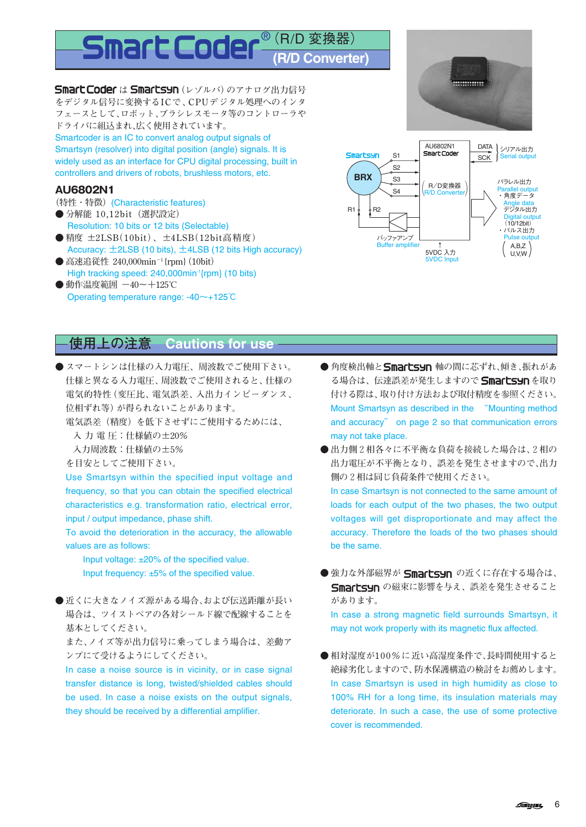## $^{\circledR}$  (R/D 変換器) **(R/D Converter)**

**Smart Coder は Smartsyn** (レゾルバ)のアナログ出力信号 **をデジタル信号に変換するICで、CPUデジタル処理へのインタ フェースとして、ロボット、ブラシレスモータ等のコントローラや ドライバに組込まれ、広く使用されています。**

Smartcoder is an IC to convert analog output signals of Smartsyn (resolver) into digital position (angle) signals. It is widely used as an interface for CPU digital processing, built in controllers and drivers of robots, brushless motors, etc.

#### **AU6802N1**

- **(特性・特徴)**(Characteristic features)
- 分解能 10,12bit (選択設定) Resolution: 10 bits or 12 bits (Selectable)
- **精度 ±2LSB(10bit)、±4LSB(12bit高精度)** Accuracy: ±2LSB (10 bits), ±4LSB (12 bits High accuracy)
- **高速追従性 240,000min-1 {rpm}(10bit)** High tracking speed: 240,000min<sup>-1</sup>{rpm} (10 bits)
- 動作温度範囲 -40~+125℃ Operating temperature range: -40~+125℃

# ............



## **使用上の注意 Cautions for use**

- **スマートシンは仕様の入力電圧、周波数でご使用下さい。 仕様と異なる入力電圧、周波数でご使用されると、仕様の 電気的特性(変圧比、電気誤差、入出力インピーダンス、 位相ずれ等)が得られないことがあります。**
	- **電気誤差(精度)を低下させずにご使用するためには、**
		- **入 力 電 圧:仕様値の±20%**
	- **入力周波数:仕様値の±5%**
	- **を目安としてご使用下さい。**

Use Smartsyn within the specified input voltage and frequency, so that you can obtain the specified electrical characteristics e.g. transformation ratio, electrical error, input / output impedance, phase shift.

To avoid the deterioration in the accuracy, the allowable values are as follows:

Input voltage: ±20% of the specified value. Input frequency: ±5% of the specified value.

**●近くに大きなノイズ源がある場合、および伝送距離が長い 場合は、ツイストペアの各対シールド線で配線することを 基本としてください。**

**また、ノイズ等が出力信号に乗ってしまう場合は、差動ア ンプにて受けるようにしてください。**

In case a noise source is in vicinity, or in case signal transfer distance is long, twisted/shielded cables should be used. In case a noise exists on the output signals, they should be received by a differential amplifier.

● 角度検出軸とSmartsyn 軸の間に芯ずれ、傾き、振れがあ る場合は、伝達誤差が発生しますので **Smartsyn** を取り **付ける際は、取り付け方法および取付精度を参照ください。** Mount Smartsyn as described in the "Mounting method and accuracy" on page 2 so that communication errors may not take place.

**● 出力側2相各々に不平衡な負荷を接続した場合は、2相の 出力電圧が不平衡となり、誤差を発生させますので、出力 側の2相は同じ負荷条件で使用ください。** In case Smartsyn is not connected to the same amount of loads for each output of the two phases, the two output voltages will get disproportionate and may affect the accuracy. Therefore the loads of the two phases should

● 強力な外部磁界が Smartsyn の近くに存在する場合は、 Smartsyn の磁束に影響を与え、誤差を発生させること **があります。**

be the same.

In case a strong magnetic field surrounds Smartsyn, it may not work properly with its magnetic flux affected.

**● 相対湿度が100%に近い高湿度条件で、長時間使用すると 絶縁劣化しますので、防水保護構造の検討をお薦めします。** In case Smartsyn is used in high humidity as close to 100% RH for a long time, its insulation materials may deteriorate. In such a case, the use of some protective cover is recommended.